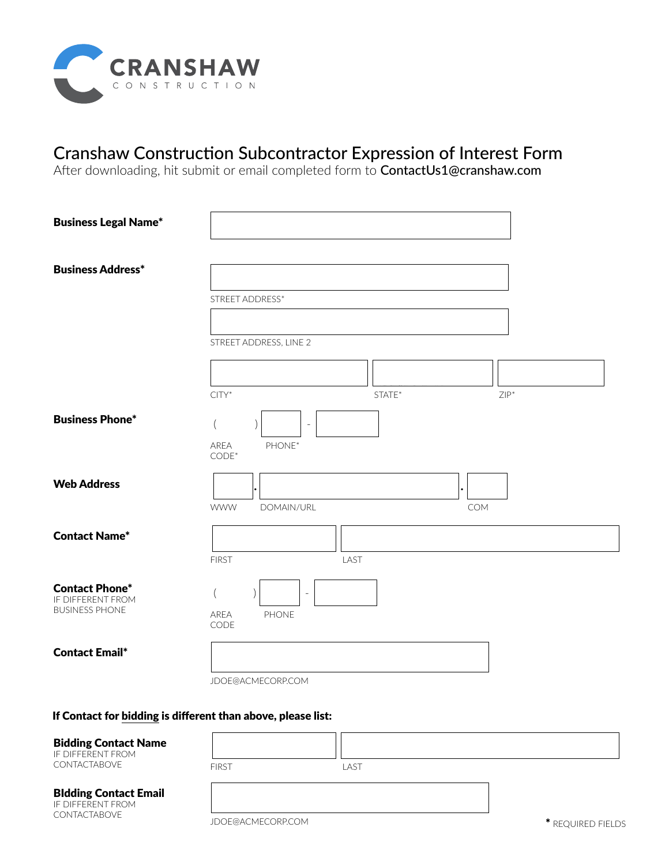

## Cranshaw Construction Subcontractor Expression of Interest Form

After downloading, hit submit or email completed form to **ContactUs1@cranshaw.com** 

| <b>Business Legal Name*</b>                                         |                                                   |        |         |  |
|---------------------------------------------------------------------|---------------------------------------------------|--------|---------|--|
| <b>Business Address*</b>                                            |                                                   |        |         |  |
|                                                                     | STREET ADDRESS*                                   |        |         |  |
|                                                                     | STREET ADDRESS, LINE 2                            |        |         |  |
|                                                                     | $CITY^*$                                          | STATE* | $ZIP^*$ |  |
| <b>Business Phone*</b>                                              | PHONE*<br>AREA<br>$CODE*$                         |        |         |  |
| <b>Web Address</b>                                                  | <b>WWW</b><br>DOMAIN/URL                          |        | COM     |  |
| <b>Contact Name*</b>                                                | <b>FIRST</b>                                      | LAST   |         |  |
| <b>Contact Phone*</b><br>IF DIFFERENT FROM<br><b>BUSINESS PHONE</b> | $\overline{\phantom{a}}$<br>AREA<br>PHONE<br>CODE |        |         |  |
| <b>Contact Email*</b>                                               | JDOE@ACMECORP.COM                                 |        |         |  |

## If Contact for bidding is different than above, please list:

FIRST

## Bidding Contact Name

IF DIFFERENT FROM CONTACTABOVE

LAST

## BIdding Contact Email

IF DIFFERENT FROM CONTACTABOVE

\* REQUIRED FIELDS